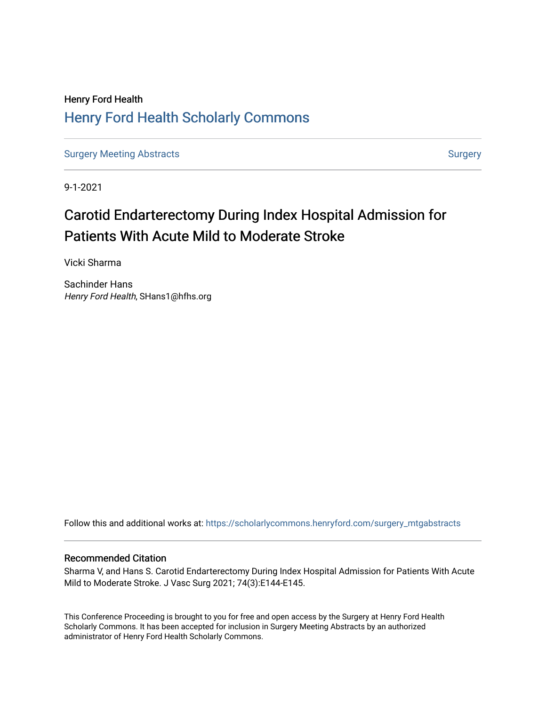## Henry Ford Health [Henry Ford Health Scholarly Commons](https://scholarlycommons.henryford.com/)

[Surgery Meeting Abstracts](https://scholarlycommons.henryford.com/surgery_mtgabstracts) and [Surgery](https://scholarlycommons.henryford.com/surgery) Surgery Surgery Surgery

9-1-2021

# Carotid Endarterectomy During Index Hospital Admission for Patients With Acute Mild to Moderate Stroke

Vicki Sharma

Sachinder Hans Henry Ford Health, SHans1@hfhs.org

Follow this and additional works at: [https://scholarlycommons.henryford.com/surgery\\_mtgabstracts](https://scholarlycommons.henryford.com/surgery_mtgabstracts?utm_source=scholarlycommons.henryford.com%2Fsurgery_mtgabstracts%2F213&utm_medium=PDF&utm_campaign=PDFCoverPages) 

## Recommended Citation

Sharma V, and Hans S. Carotid Endarterectomy During Index Hospital Admission for Patients With Acute Mild to Moderate Stroke. J Vasc Surg 2021; 74(3):E144-E145.

This Conference Proceeding is brought to you for free and open access by the Surgery at Henry Ford Health Scholarly Commons. It has been accepted for inclusion in Surgery Meeting Abstracts by an authorized administrator of Henry Ford Health Scholarly Commons.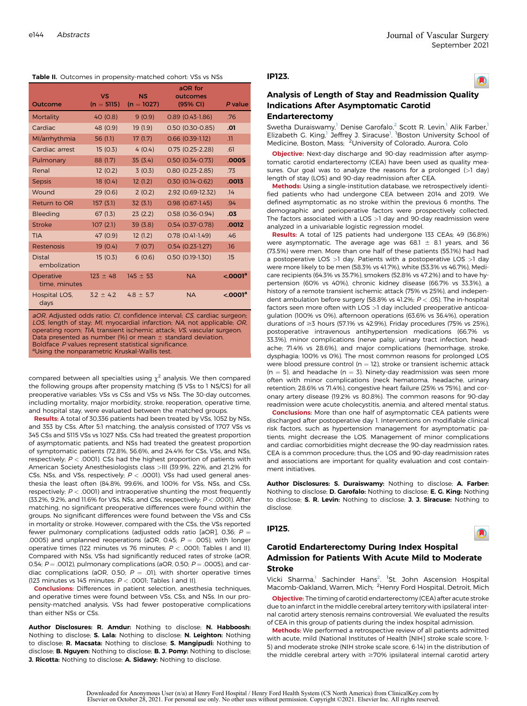#### Table II. Outcomes in propensity-matched cohort: VSs vs NSs

| Outcome                                                                 | <b>VS</b><br>$(n = 5115)$ | <b>NS</b><br>$(n = 1027)$ | aOR for<br>outcomes<br>(95% CI) | P value               |
|-------------------------------------------------------------------------|---------------------------|---------------------------|---------------------------------|-----------------------|
| Mortality                                                               | 40(0.8)                   | 9(0.9)                    | $0.89(0.43 - 1.86)$             | .76                   |
| Cardiac                                                                 | 48 (0.9)                  | 19(1.9)                   | $0.50$ (0.30-0.85)              | .01                   |
| Ml/arrhythmia                                                           | 56(1.1)                   | 17(1.7)                   | $0.66$ (0.39-1.12)              | $\overline{11}$       |
| Cardiac arrest                                                          | 15(0.3)                   | 4(0.4)                    | $0.75(0.25 - 2.28)$             | .61                   |
| Pulmonary                                                               | 88 (1.7)                  | 35(3.4)                   | $0.50(0.34 - 0.73)$             | .0005                 |
| Renal                                                                   | 12(0.2)                   | 3(0.3)                    | $0.80$ (0.23-2.85)              | .73                   |
| <b>Sepsis</b>                                                           | 18(0.4)                   | 12(1.2)                   | $0.30(0.14-0.62)$               | .0013                 |
| Wound                                                                   | 29(0.6)                   | 2(0.2)                    | 2.92 (0.69-12.32)               | .14                   |
| Return to OR                                                            | 157(3.1)                  | 32(3.1)                   | $0.98$ (0.67-1.45)              | .94                   |
| Bleeding                                                                | 67(1.3)                   | 23(2.2)                   | $0.58$ (0.36-0.94)              | .03                   |
| <b>Stroke</b>                                                           | 107(2.1)                  | 39 (3.8)                  | $0.54$ (0.37-0.78)              | .0012                 |
| <b>TIA</b>                                                              | 47 (0.9)                  | 12(1.2)                   | $0.78$ $(0.41-1.49)$            | .46                   |
| Restenosis                                                              | 19(0.4)                   | 7(0.7)                    | $0.54$ (0.23-1.27)              | .16                   |
| <b>Distal</b><br>embolization                                           | 15(0.3)                   | 6(0.6)                    | $0.50(0.19-1.30)$               | .15                   |
| Operative<br>time, minutes                                              | $123 \pm 48$              | $145 \pm 53$              | <b>NA</b>                       | < 0001 <sup>a</sup>   |
| Hospital LOS,<br>days                                                   | $3.2 \pm 4.2$             | $4.8 \pm 5.7$             | <b>NA</b>                       | < 0.0001 <sup>a</sup> |
| aOR, Adjusted odds ratio; CI, confidence interval; CS, cardiac surgeon; |                           |                           |                                 |                       |

LOS, length of stay; MI, myocardial infarction; NA, not applicable; OR, operating room; TIA, transient ischemic attack; VS, vascular surgeon. Data presented as number (%) or mean  $\pm$  standard deviation. Boldface P values represent statistical significance. aUsing the nonparametric Kruskal-Wallis test.

compared between all specialties using  $\chi^2$  analysis. We then compared the following groups after propensity matching (5 VSs to 1 NS/CS) for all preoperative variables: VSs vs CSs and VSs vs NSs. The 30-day outcomes, including mortality, major morbidity, stroke, reoperation, operative time, and hospital stay, were evaluated between the matched groups.

Results: A total of 30,336 patients had been treated by VSs, 1052 by NSs, and 353 by CSs. After 5:1 matching, the analysis consisted of 1707 VSs vs 345 CSs and 5115 VSs vs 1027 NSs. CSs had treated the greatest proportion of asymptomatic patients, and NSs had treated the greatest proportion of symptomatic patients (72.8%, 56.6%, and 24.4% for CSs, VSs, and NSs, respectively;  $P < .0001$ ). CSs had the highest proportion of patients with American Society Anesthesiologists class >III (39.9%, 22%, and 21.2% for CSs, NSs, and VSs, respectively;  $P < .0001$ ). VSs had used general anesthesia the least often (84.8%, 99.6%, and 100% for VSs, NSs, and CSs, respectively;  $P < .0001$ ) and intraoperative shunting the most frequently  $(33.2\%$ , 9.2%, and 11.6% for VSs, NSs, and CSs, respectively;  $P <$  0.001). After matching, no significant preoperative differences were found within the groups. No significant differences were found between the VSs and CSs in mortality or stroke. However, compared with the CSs, the VSs reported fewer pulmonary complications (adjusted odds ratio [aOR], 0.36;  $P =$ .0005) and unplanned reoperations (aOR, 0.45;  $P = .005$ ), with longer operative times (122 minutes vs 76 minutes; <sup>P</sup> < .0001; Tables I and II). Compared with NSs, VSs had significantly reduced rates of stroke (aOR, 0.54;  $P = 0.0012$ ), pulmonary complications (aOR, 0.50;  $P = 0.0005$ ), and cardiac complications (aOR, 0.50;  $P = .01$ ), with shorter operative times (123 minutes vs 145 minutes;  $P < .0001$ ; Tables I and II).

Conclusions: Differences in patient selection, anesthesia techniques, and operative times were found between VSs, CSs, and NSs. In our propensity-matched analysis, VSs had fewer postoperative complications than either NSs or CSs.

Author Disclosures: R. Amdur: Nothing to disclose; N. Habboosh: Nothing to disclose; S. Lala: Nothing to disclose; N. Leighton: Nothing to disclose; R. Macsata: Nothing to disclose; S. Mangipudi: Nothing to disclose; **B. Nguyen:** Nothing to disclose; **B. J. Pomy:** Nothing to disclose; **J. Ricotta:** Nothing to disclose; **A. Sidawy:** Nothing to disclose.

#### IP123.



 $\blacksquare$ 

## Analysis of Length of Stay and Readmission Quality Indications After Asymptomatic Carotid Endarterectomy

Swetha Duraiswamy, $^1$  Denise Garofalo, $^2$  Scott R. Levin, $^1$  Alik Farber, $^1$ Elizabeth G. King,<sup>1</sup> Jeffrey J. Siracuse<sup>1</sup>. <sup>1</sup>Boston University School of Medicine, Boston, Mass; <sup>2</sup>University of Colorado, Aurora, Colo

Objective: Next-day discharge and 90-day readmission after asymptomatic carotid endarterectomy (CEA) have been used as quality measures. Our goal was to analyze the reasons for a prolonged  $(>1$  day) length of stay (LOS) and 90-day readmission after CEA.

Methods: Using a single-institution database, we retrospectively identified patients who had undergone CEA between 2014 and 2019. We defined asymptomatic as no stroke within the previous 6 months. The demographic and perioperative factors were prospectively collected. The factors associated with a LOS >1 day and 90-day readmission were analyzed in a univariable logistic regression model.

Results: A total of 125 patients had undergone 133 CEAs; 49 (36.8%) were asymptomatic. The average age was 68.1  $\pm$  8.1 years, and 36 (73.5%) were men. More than one half of these patients (55.1%) had had a postoperative LOS >1 day. Patients with a postoperative LOS >1 day were more likely to be men (58.3% vs 41.7%), white (53.3% vs 46.7%), Medicare recipients (64.3% vs 35.7%), smokers (52.8% vs 47.2%) and to have hypertension (60% vs 40%), chronic kidney disease (66.7% vs 33.3%), a history of a remote transient ischemic attack (75% vs 25%), and independent ambulation before surgery (58.8% vs 41.2%; <sup>P</sup> < .05). The in-hospital factors seen more often with LOS >1 day included preoperative anticoagulation (100% vs 0%), afternoon operations (63.6% vs 36.4%), operation durations of  $\geq$ 3 hours (57.1% vs 42.9%), Friday procedures (75% vs 25%), postoperative intravenous antihypertension medications (66.7% vs 33.3%), minor complications (nerve palsy, urinary tract infection, headache; 71.4% vs 28.6%), and major complications (hemorrhage, stroke, dysphagia; 100% vs 0%). The most common reasons for prolonged LOS were blood pressure control ( $n = 12$ ), stroke or transient ischemic attack  $(n = 5)$ , and headache  $(n = 3)$ . Ninety-day readmission was seen more often with minor complications (neck hematoma, headache, urinary retention; 28.6% vs 71.4%), congestive heart failure (25% vs 75%), and coronary artery disease (19.2% vs 80.8%). The common reasons for 90-day readmission were acute cholecystitis, anemia, and altered mental status.

**Conclusions:** More than one half of asymptomatic CEA patients were discharged after postoperative day 1. Interventions on modifiable clinical risk factors, such as hypertension management for asymptomatic patients, might decrease the LOS. Management of minor complications and cardiac comorbidities might decrease the 90-day readmission rates. CEA is a common procedure; thus, the LOS and 90-day readmission rates and associations are important for quality evaluation and cost containment initiatives.

Author Disclosures: S. Duraiswamy: Nothing to disclose; A. Farber: Nothing to disclose; D. Garofalo: Nothing to disclose; E. G. King: Nothing to disclose; S. R. Levin: Nothing to disclose; J. J. Siracuse: Nothing to disclose.

## IP125.

## Carotid Endarterectomy During Index Hospital Admission for Patients With Acute Mild to Moderate Stroke

Vicki Sharma,<sup>1</sup> Sachinder Hans<sup>2</sup>. <sup>1</sup>St. John Ascension Hospital Macomb-Oakland, Warren, Mich; <sup>2</sup>Henry Ford Hospital, Detroit, Mich

Objective: The timing of carotid endarterectomy (CEA) after acute stroke due to an infarct in the middle cerebral artery territory with ipsilateral internal carotid artery stenosis remains controversial. We evaluated the results of CEA in this group of patients during the index hospital admission.

Methods: We performed a retrospective review of all patients admitted with acute, mild (National Institutes of Health [NIH] stroke scale score, 1- 5) and moderate stroke (NIH stroke scale score, 6-14) in the distribution of the middle cerebral artery with  $\geq$  70% ipsilateral internal carotid artery